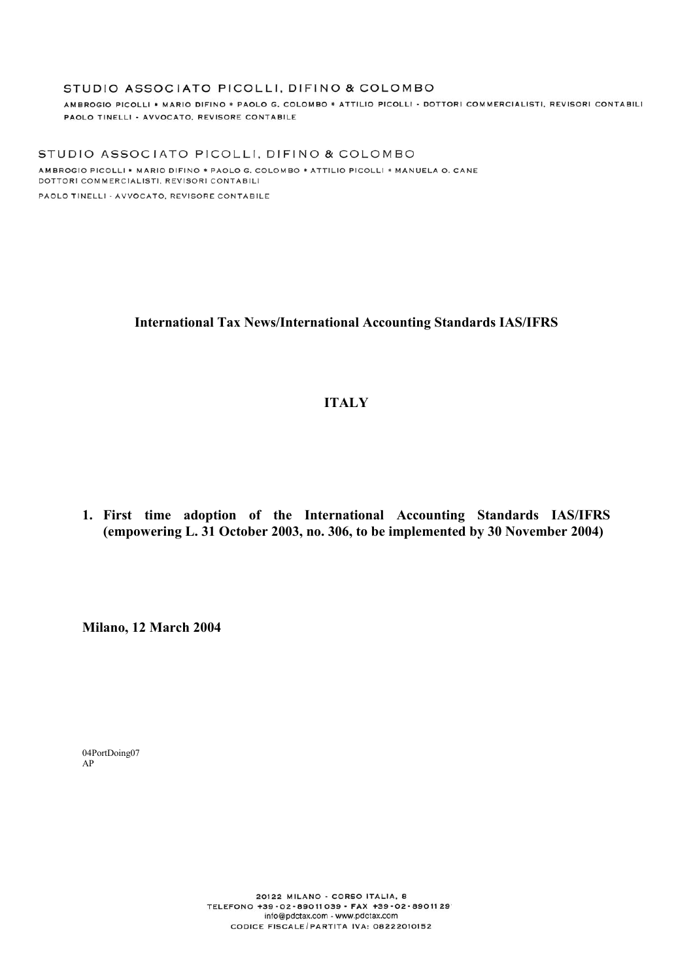## STUDIO ASSOCIATO PICOLLI, DIFINO & COLOMBO

AMBROGIO PICOLLI \* MARIO DIFINO \* PAOLO G. COLOMBO \* ATTILIO PICOLLI - DOTTORI COMMERCIALISTI, REVISORI CONTABILI PAOLO TINELLI - AVVOCATO, REVISORE CONTABILE

STUDIO ASSOCIATO PICOLLI, DIFINO & COLOMBO AMBROGIO PICOLLI \* MARIO DIFINO \* PAOLO G. COLOMBO \* ATTILIO PICOLLI \* MANUELA O. CANE DOTTORI COMMERCIALISTI, REVISORI CONTABILI PAOLO TINELLI - AVVOCATO, REVISORE CONTABILE

## **ITALY**

**International Tax News/International Accounting Standards IAS/IFRS** 

**1. First time adoption of the International Accounting Standards IAS/IFRS (empowering L. 31 October 2003, no. 306, to be implemented by 30 November 2004)** 

**Milano, 12 March 2004**

04PortDoing07 AP